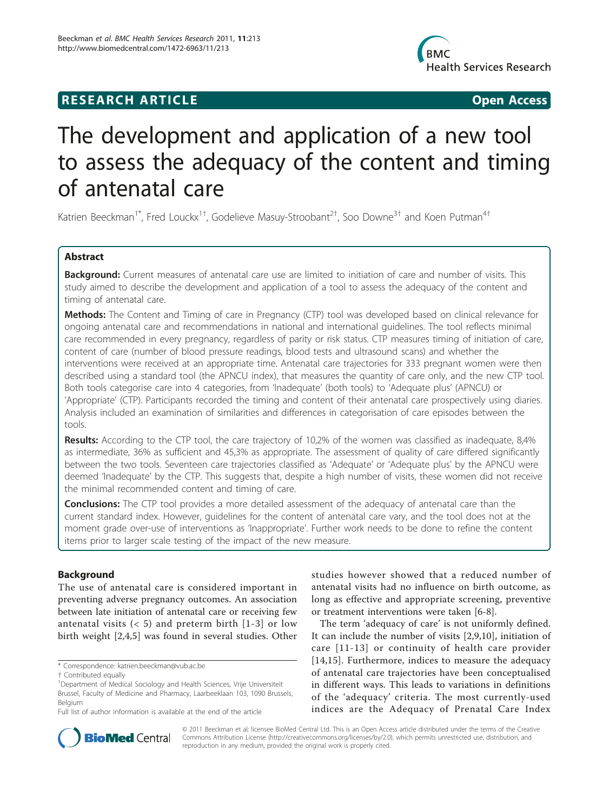# **RESEARCH ARTICLE Example 2018 CONSIDERING ACCESS**



# The development and application of a new tool to assess the adequacy of the content and timing of antenatal care

Katrien Beeckman<sup>1\*</sup>, Fred Louckx<sup>1†</sup>, Godelieve Masuy-Stroobant<sup>2†</sup>, Soo Downe<sup>3†</sup> and Koen Putman<sup>4†</sup>

# Abstract

Background: Current measures of antenatal care use are limited to initiation of care and number of visits. This study aimed to describe the development and application of a tool to assess the adequacy of the content and timing of antenatal care.

Methods: The Content and Timing of care in Pregnancy (CTP) tool was developed based on clinical relevance for ongoing antenatal care and recommendations in national and international guidelines. The tool reflects minimal care recommended in every pregnancy, regardless of parity or risk status. CTP measures timing of initiation of care, content of care (number of blood pressure readings, blood tests and ultrasound scans) and whether the interventions were received at an appropriate time. Antenatal care trajectories for 333 pregnant women were then described using a standard tool (the APNCU index), that measures the quantity of care only, and the new CTP tool. Both tools categorise care into 4 categories, from 'Inadequate' (both tools) to 'Adequate plus' (APNCU) or 'Appropriate' (CTP). Participants recorded the timing and content of their antenatal care prospectively using diaries. Analysis included an examination of similarities and differences in categorisation of care episodes between the tools.

**Results:** According to the CTP tool, the care trajectory of 10,2% of the women was classified as inadequate, 8,4% as intermediate, 36% as sufficient and 45,3% as appropriate. The assessment of quality of care differed significantly between the two tools. Seventeen care trajectories classified as 'Adequate' or 'Adequate plus' by the APNCU were deemed 'Inadequate' by the CTP. This suggests that, despite a high number of visits, these women did not receive the minimal recommended content and timing of care.

**Conclusions:** The CTP tool provides a more detailed assessment of the adequacy of antenatal care than the current standard index. However, guidelines for the content of antenatal care vary, and the tool does not at the moment grade over-use of interventions as 'Inappropriate'. Further work needs to be done to refine the content items prior to larger scale testing of the impact of the new measure.

# Background

The use of antenatal care is considered important in preventing adverse pregnancy outcomes. An association between late initiation of antenatal care or receiving few antenatal visits  $(< 5)$  and preterm birth [\[1-3\]](#page-7-0) or low birth weight [[2,](#page-7-0)[4,5](#page-8-0)] was found in several studies. Other

studies however showed that a reduced number of antenatal visits had no influence on birth outcome, as long as effective and appropriate screening, preventive or treatment interventions were taken [\[6](#page-8-0)-[8\]](#page-8-0).

The term 'adequacy of care' is not uniformly defined. It can include the number of visits [[2,](#page-7-0)[9,10\]](#page-8-0), initiation of care [[11-13](#page-8-0)] or continuity of health care provider [[14,15\]](#page-8-0). Furthermore, indices to measure the adequacy of antenatal care trajectories have been conceptualised in different ways. This leads to variations in definitions of the 'adequacy' criteria. The most currently-used indices are the Adequacy of Prenatal Care Index



© 2011 Beeckman et al; licensee BioMed Central Ltd. This is an Open Access article distributed under the terms of the Creative Commons Attribution License [\(http://creativecommons.org/licenses/by/2.0](http://creativecommons.org/licenses/by/2.0)), which permits unrestricted use, distribution, and reproduction in any medium, provided the original work is properly cited.

<sup>\*</sup> Correspondence: [katrien.beeckman@vub.ac.be](mailto:katrien.beeckman@vub.ac.be)

<sup>†</sup> Contributed equally <sup>1</sup>

<sup>&</sup>lt;sup>1</sup>Department of Medical Sociology and Health Sciences, Vrije Universiteit Brussel, Faculty of Medicine and Pharmacy, Laarbeeklaan 103, 1090 Brussels, Belgium

Full list of author information is available at the end of the article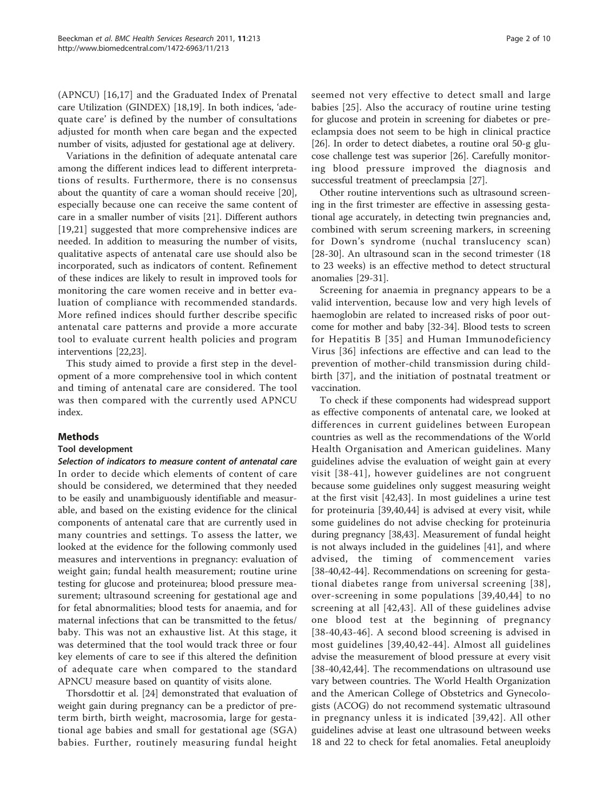(APNCU) [\[16,17\]](#page-8-0) and the Graduated Index of Prenatal care Utilization (GINDEX) [\[18,19\]](#page-8-0). In both indices, 'adequate care' is defined by the number of consultations adjusted for month when care began and the expected number of visits, adjusted for gestational age at delivery.

Variations in the definition of adequate antenatal care among the different indices lead to different interpretations of results. Furthermore, there is no consensus about the quantity of care a woman should receive [\[20](#page-8-0)], especially because one can receive the same content of care in a smaller number of visits [[21\]](#page-8-0). Different authors [[19,21](#page-8-0)] suggested that more comprehensive indices are needed. In addition to measuring the number of visits, qualitative aspects of antenatal care use should also be incorporated, such as indicators of content. Refinement of these indices are likely to result in improved tools for monitoring the care women receive and in better evaluation of compliance with recommended standards. More refined indices should further describe specific antenatal care patterns and provide a more accurate tool to evaluate current health policies and program interventions [\[22,23](#page-8-0)].

This study aimed to provide a first step in the development of a more comprehensive tool in which content and timing of antenatal care are considered. The tool was then compared with the currently used APNCU index.

# Methods

# Tool development

Selection of indicators to measure content of antenatal care In order to decide which elements of content of care should be considered, we determined that they needed to be easily and unambiguously identifiable and measurable, and based on the existing evidence for the clinical components of antenatal care that are currently used in many countries and settings. To assess the latter, we looked at the evidence for the following commonly used measures and interventions in pregnancy: evaluation of weight gain; fundal health measurement; routine urine testing for glucose and proteinurea; blood pressure measurement; ultrasound screening for gestational age and for fetal abnormalities; blood tests for anaemia, and for maternal infections that can be transmitted to the fetus/ baby. This was not an exhaustive list. At this stage, it was determined that the tool would track three or four key elements of care to see if this altered the definition of adequate care when compared to the standard APNCU measure based on quantity of visits alone.

Thorsdottir et al. [[24\]](#page-8-0) demonstrated that evaluation of weight gain during pregnancy can be a predictor of preterm birth, birth weight, macrosomia, large for gestational age babies and small for gestational age (SGA) babies. Further, routinely measuring fundal height seemed not very effective to detect small and large babies [[25](#page-8-0)]. Also the accuracy of routine urine testing for glucose and protein in screening for diabetes or preeclampsia does not seem to be high in clinical practice [[26\]](#page-8-0). In order to detect diabetes, a routine oral 50-g glucose challenge test was superior [\[26](#page-8-0)]. Carefully monitoring blood pressure improved the diagnosis and successful treatment of preeclampsia [[27\]](#page-8-0).

Other routine interventions such as ultrasound screening in the first trimester are effective in assessing gestational age accurately, in detecting twin pregnancies and, combined with serum screening markers, in screening for Down's syndrome (nuchal translucency scan) [[28-30](#page-8-0)]. An ultrasound scan in the second trimester (18 to 23 weeks) is an effective method to detect structural anomalies [[29-31\]](#page-8-0).

Screening for anaemia in pregnancy appears to be a valid intervention, because low and very high levels of haemoglobin are related to increased risks of poor outcome for mother and baby [\[32-34](#page-8-0)]. Blood tests to screen for Hepatitis B [[35\]](#page-8-0) and Human Immunodeficiency Virus [[36](#page-8-0)] infections are effective and can lead to the prevention of mother-child transmission during childbirth [\[37\]](#page-8-0), and the initiation of postnatal treatment or vaccination.

To check if these components had widespread support as effective components of antenatal care, we looked at differences in current guidelines between European countries as well as the recommendations of the World Health Organisation and American guidelines. Many guidelines advise the evaluation of weight gain at every visit [[38-41](#page-8-0)], however guidelines are not congruent because some guidelines only suggest measuring weight at the first visit [[42,43](#page-8-0)]. In most guidelines a urine test for proteinuria [[39,40,44](#page-8-0)] is advised at every visit, while some guidelines do not advise checking for proteinuria during pregnancy [\[38,43\]](#page-8-0). Measurement of fundal height is not always included in the guidelines [[41](#page-8-0)], and where advised, the timing of commencement varies [[38-40,42-44](#page-8-0)]. Recommendations on screening for gestational diabetes range from universal screening [[38\]](#page-8-0), over-screening in some populations [[39,40,44\]](#page-8-0) to no screening at all [\[42,43](#page-8-0)]. All of these guidelines advise one blood test at the beginning of pregnancy [[38](#page-8-0)-[40,43](#page-8-0)-[46](#page-8-0)]. A second blood screening is advised in most guidelines [\[39](#page-8-0),[40](#page-8-0),[42-44\]](#page-8-0). Almost all guidelines advise the measurement of blood pressure at every visit [[38-40,42,44\]](#page-8-0). The recommendations on ultrasound use vary between countries. The World Health Organization and the American College of Obstetrics and Gynecologists (ACOG) do not recommend systematic ultrasound in pregnancy unless it is indicated [[39,42\]](#page-8-0). All other guidelines advise at least one ultrasound between weeks 18 and 22 to check for fetal anomalies. Fetal aneuploidy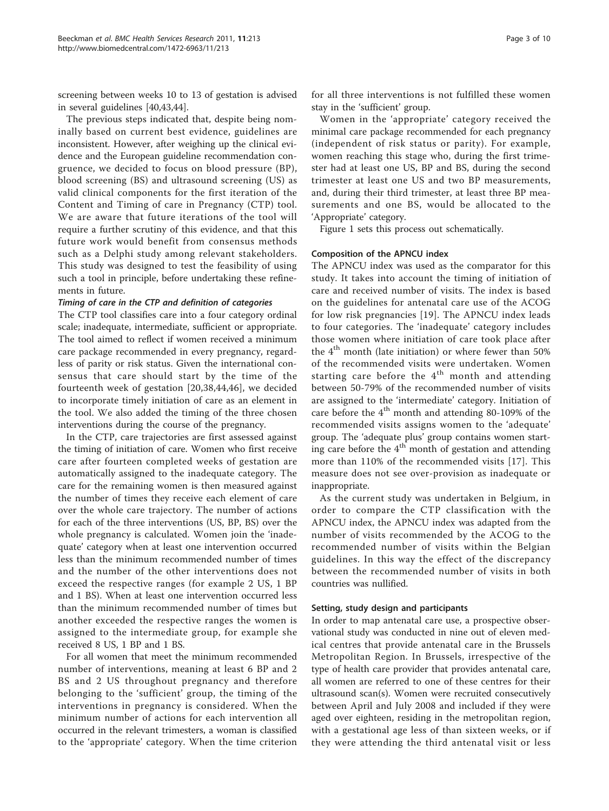screening between weeks 10 to 13 of gestation is advised in several guidelines [[40,43](#page-8-0),[44](#page-8-0)].

The previous steps indicated that, despite being nominally based on current best evidence, guidelines are inconsistent. However, after weighing up the clinical evidence and the European guideline recommendation congruence, we decided to focus on blood pressure (BP), blood screening (BS) and ultrasound screening (US) as valid clinical components for the first iteration of the Content and Timing of care in Pregnancy (CTP) tool. We are aware that future iterations of the tool will require a further scrutiny of this evidence, and that this future work would benefit from consensus methods such as a Delphi study among relevant stakeholders. This study was designed to test the feasibility of using such a tool in principle, before undertaking these refinements in future.

#### Timing of care in the CTP and definition of categories

The CTP tool classifies care into a four category ordinal scale; inadequate, intermediate, sufficient or appropriate. The tool aimed to reflect if women received a minimum care package recommended in every pregnancy, regardless of parity or risk status. Given the international consensus that care should start by the time of the fourteenth week of gestation [\[20](#page-8-0),[38,44](#page-8-0),[46\]](#page-8-0), we decided to incorporate timely initiation of care as an element in the tool. We also added the timing of the three chosen interventions during the course of the pregnancy.

In the CTP, care trajectories are first assessed against the timing of initiation of care. Women who first receive care after fourteen completed weeks of gestation are automatically assigned to the inadequate category. The care for the remaining women is then measured against the number of times they receive each element of care over the whole care trajectory. The number of actions for each of the three interventions (US, BP, BS) over the whole pregnancy is calculated. Women join the 'inadequate' category when at least one intervention occurred less than the minimum recommended number of times and the number of the other interventions does not exceed the respective ranges (for example 2 US, 1 BP and 1 BS). When at least one intervention occurred less than the minimum recommended number of times but another exceeded the respective ranges the women is assigned to the intermediate group, for example she received 8 US, 1 BP and 1 BS.

For all women that meet the minimum recommended number of interventions, meaning at least 6 BP and 2 BS and 2 US throughout pregnancy and therefore belonging to the 'sufficient' group, the timing of the interventions in pregnancy is considered. When the minimum number of actions for each intervention all occurred in the relevant trimesters, a woman is classified to the 'appropriate' category. When the time criterion for all three interventions is not fulfilled these women stay in the 'sufficient' group.

Women in the 'appropriate' category received the minimal care package recommended for each pregnancy (independent of risk status or parity). For example, women reaching this stage who, during the first trimester had at least one US, BP and BS, during the second trimester at least one US and two BP measurements, and, during their third trimester, at least three BP measurements and one BS, would be allocated to the 'Appropriate' category.

Figure [1](#page-3-0) sets this process out schematically.

#### Composition of the APNCU index

The APNCU index was used as the comparator for this study. It takes into account the timing of initiation of care and received number of visits. The index is based on the guidelines for antenatal care use of the ACOG for low risk pregnancies [[19](#page-8-0)]. The APNCU index leads to four categories. The 'inadequate' category includes those women where initiation of care took place after the  $4<sup>th</sup>$  month (late initiation) or where fewer than 50% of the recommended visits were undertaken. Women starting care before the  $4<sup>th</sup>$  month and attending between 50-79% of the recommended number of visits are assigned to the 'intermediate' category. Initiation of care before the  $4<sup>th</sup>$  month and attending 80-109% of the recommended visits assigns women to the 'adequate' group. The 'adequate plus' group contains women starting care before the 4<sup>th</sup> month of gestation and attending more than 110% of the recommended visits [\[17\]](#page-8-0). This measure does not see over-provision as inadequate or inappropriate.

As the current study was undertaken in Belgium, in order to compare the CTP classification with the APNCU index, the APNCU index was adapted from the number of visits recommended by the ACOG to the recommended number of visits within the Belgian guidelines. In this way the effect of the discrepancy between the recommended number of visits in both countries was nullified.

# Setting, study design and participants

In order to map antenatal care use, a prospective observational study was conducted in nine out of eleven medical centres that provide antenatal care in the Brussels Metropolitan Region. In Brussels, irrespective of the type of health care provider that provides antenatal care, all women are referred to one of these centres for their ultrasound scan(s). Women were recruited consecutively between April and July 2008 and included if they were aged over eighteen, residing in the metropolitan region, with a gestational age less of than sixteen weeks, or if they were attending the third antenatal visit or less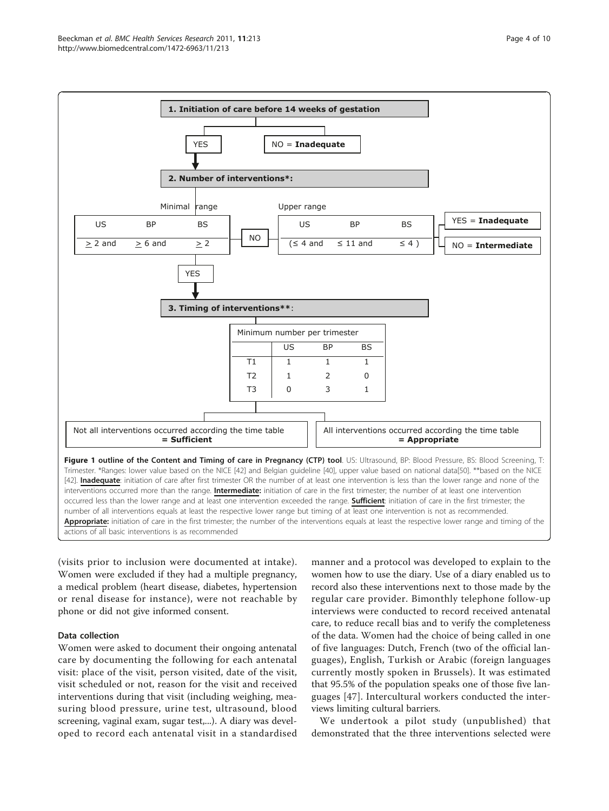<span id="page-3-0"></span>

(visits prior to inclusion were documented at intake). Women were excluded if they had a multiple pregnancy, a medical problem (heart disease, diabetes, hypertension or renal disease for instance), were not reachable by phone or did not give informed consent.

# Data collection

Women were asked to document their ongoing antenatal care by documenting the following for each antenatal visit: place of the visit, person visited, date of the visit, visit scheduled or not, reason for the visit and received interventions during that visit (including weighing, measuring blood pressure, urine test, ultrasound, blood screening, vaginal exam, sugar test,...). A diary was developed to record each antenatal visit in a standardised

manner and a protocol was developed to explain to the women how to use the diary. Use of a diary enabled us to record also these interventions next to those made by the regular care provider. Bimonthly telephone follow-up interviews were conducted to record received antenatal care, to reduce recall bias and to verify the completeness of the data. Women had the choice of being called in one of five languages: Dutch, French (two of the official languages), English, Turkish or Arabic (foreign languages currently mostly spoken in Brussels). It was estimated that 95.5% of the population speaks one of those five languages [\[47\]](#page-8-0). Intercultural workers conducted the interviews limiting cultural barriers.

We undertook a pilot study (unpublished) that demonstrated that the three interventions selected were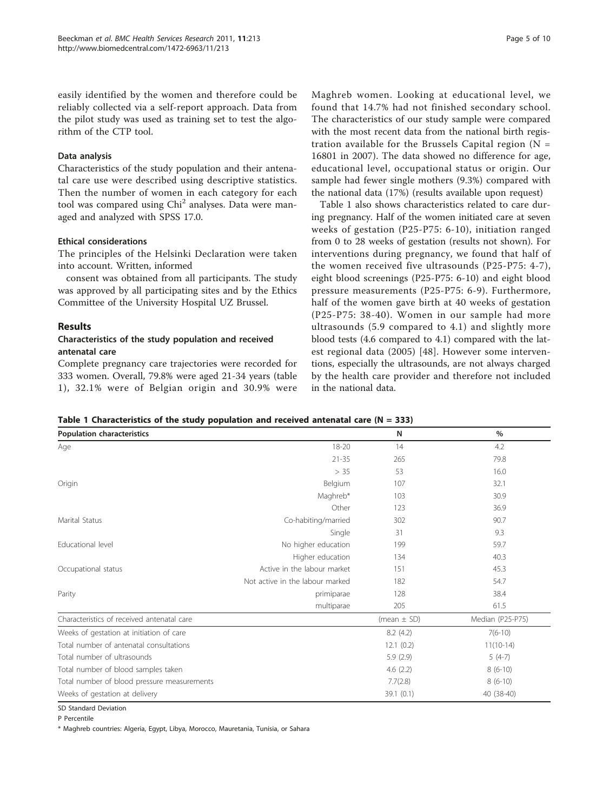easily identified by the women and therefore could be reliably collected via a self-report approach. Data from the pilot study was used as training set to test the algorithm of the CTP tool.

# Data analysis

Characteristics of the study population and their antenatal care use were described using descriptive statistics. Then the number of women in each category for each tool was compared using Chi<sup>2</sup> analyses. Data were managed and analyzed with SPSS 17.0.

#### Ethical considerations

The principles of the Helsinki Declaration were taken into account. Written, informed

consent was obtained from all participants. The study was approved by all participating sites and by the Ethics Committee of the University Hospital UZ Brussel.

# Results

# Characteristics of the study population and received antenatal care

Complete pregnancy care trajectories were recorded for 333 women. Overall, 79.8% were aged 21-34 years (table 1), 32.1% were of Belgian origin and 30.9% were Maghreb women. Looking at educational level, we found that 14.7% had not finished secondary school. The characteristics of our study sample were compared with the most recent data from the national birth registration available for the Brussels Capital region ( $N =$ 16801 in 2007). The data showed no difference for age, educational level, occupational status or origin. Our sample had fewer single mothers (9.3%) compared with the national data (17%) (results available upon request)

Table 1 also shows characteristics related to care during pregnancy. Half of the women initiated care at seven weeks of gestation (P25-P75: 6-10), initiation ranged from 0 to 28 weeks of gestation (results not shown). For interventions during pregnancy, we found that half of the women received five ultrasounds (P25-P75: 4-7), eight blood screenings (P25-P75: 6-10) and eight blood pressure measurements (P25-P75: 6-9). Furthermore, half of the women gave birth at 40 weeks of gestation (P25-P75: 38-40). Women in our sample had more ultrasounds (5.9 compared to 4.1) and slightly more blood tests (4.6 compared to 4.1) compared with the latest regional data (2005) [\[48\]](#page-8-0). However some interventions, especially the ultrasounds, are not always charged by the health care provider and therefore not included in the national data.

#### Table 1 Characteristics of the study population and received antenatal care ( $N = 333$ )

| <b>Population characteristics</b>           |                                 | $\mathsf{N}$    | $\frac{0}{0}$    |
|---------------------------------------------|---------------------------------|-----------------|------------------|
| Age                                         | $18 - 20$                       | 14              | 4.2              |
|                                             | $21 - 35$                       | 265             | 79.8             |
|                                             | > 35                            | 53              | 16.0             |
| Origin                                      | Belgium                         | 107             | 32.1             |
|                                             | Maghreb*                        | 103             | 30.9             |
|                                             | Other                           | 123             | 36.9             |
| Marital Status                              | Co-habiting/married             | 302             | 90.7             |
|                                             | Single                          | 31              | 9.3              |
| Educational level                           | No higher education             | 199             | 59.7             |
|                                             | Higher education                | 134             | 40.3             |
| Occupational status                         | Active in the labour market     | 151             | 45.3             |
|                                             | Not active in the labour marked | 182             | 54.7             |
| Parity                                      | primiparae                      | 128             | 38.4             |
|                                             | multiparae                      | 205             | 61.5             |
| Characteristics of received antenatal care  |                                 | (mean $\pm$ SD) | Median (P25-P75) |
| Weeks of gestation at initiation of care    |                                 | 8.2(4.2)        | $7(6-10)$        |
| Total number of antenatal consultations     |                                 | 12.1(0.2)       | $11(10-14)$      |
| Total number of ultrasounds                 |                                 | 5.9(2.9)        | $5(4-7)$         |
| Total number of blood samples taken         |                                 | 4.6(2.2)        | $8(6-10)$        |
| Total number of blood pressure measurements |                                 | 7.7(2.8)        | $8(6-10)$        |
| Weeks of gestation at delivery              |                                 | 39.1(0.1)       | 40 (38-40)       |

SD Standard Deviation P Percentile

\* Maghreb countries: Algeria, Egypt, Libya, Morocco, Mauretania, Tunisia, or Sahara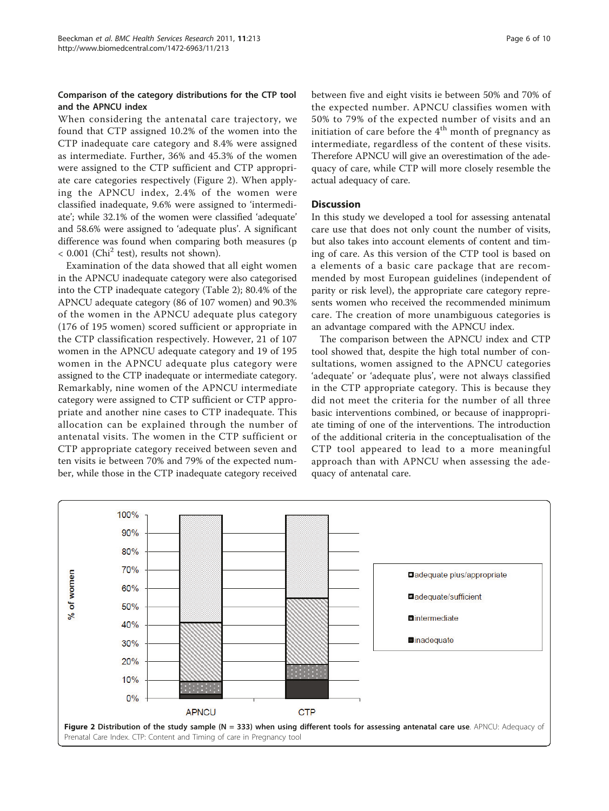# Comparison of the category distributions for the CTP tool and the APNCU index

When considering the antenatal care trajectory, we found that CTP assigned 10.2% of the women into the CTP inadequate care category and 8.4% were assigned as intermediate. Further, 36% and 45.3% of the women were assigned to the CTP sufficient and CTP appropriate care categories respectively (Figure 2). When applying the APNCU index, 2.4% of the women were classified inadequate, 9.6% were assigned to 'intermediate'; while 32.1% of the women were classified 'adequate' and 58.6% were assigned to 'adequate plus'. A significant difference was found when comparing both measures (p  $< 0.001$  (Chi<sup>2</sup> test), results not shown).

Examination of the data showed that all eight women in the APNCU inadequate category were also categorised into the CTP inadequate category (Table [2\)](#page-6-0); 80.4% of the APNCU adequate category (86 of 107 women) and 90.3% of the women in the APNCU adequate plus category (176 of 195 women) scored sufficient or appropriate in the CTP classification respectively. However, 21 of 107 women in the APNCU adequate category and 19 of 195 women in the APNCU adequate plus category were assigned to the CTP inadequate or intermediate category. Remarkably, nine women of the APNCU intermediate category were assigned to CTP sufficient or CTP appropriate and another nine cases to CTP inadequate. This allocation can be explained through the number of antenatal visits. The women in the CTP sufficient or CTP appropriate category received between seven and ten visits ie between 70% and 79% of the expected number, while those in the CTP inadequate category received between five and eight visits ie between 50% and 70% of the expected number. APNCU classifies women with 50% to 79% of the expected number of visits and an initiation of care before the  $4<sup>th</sup>$  month of pregnancy as intermediate, regardless of the content of these visits. Therefore APNCU will give an overestimation of the adequacy of care, while CTP will more closely resemble the actual adequacy of care.

# **Discussion**

In this study we developed a tool for assessing antenatal care use that does not only count the number of visits, but also takes into account elements of content and timing of care. As this version of the CTP tool is based on a elements of a basic care package that are recommended by most European guidelines (independent of parity or risk level), the appropriate care category represents women who received the recommended minimum care. The creation of more unambiguous categories is an advantage compared with the APNCU index.

The comparison between the APNCU index and CTP tool showed that, despite the high total number of consultations, women assigned to the APNCU categories 'adequate' or 'adequate plus', were not always classified in the CTP appropriate category. This is because they did not meet the criteria for the number of all three basic interventions combined, or because of inappropriate timing of one of the interventions. The introduction of the additional criteria in the conceptualisation of the CTP tool appeared to lead to a more meaningful approach than with APNCU when assessing the adequacy of antenatal care.

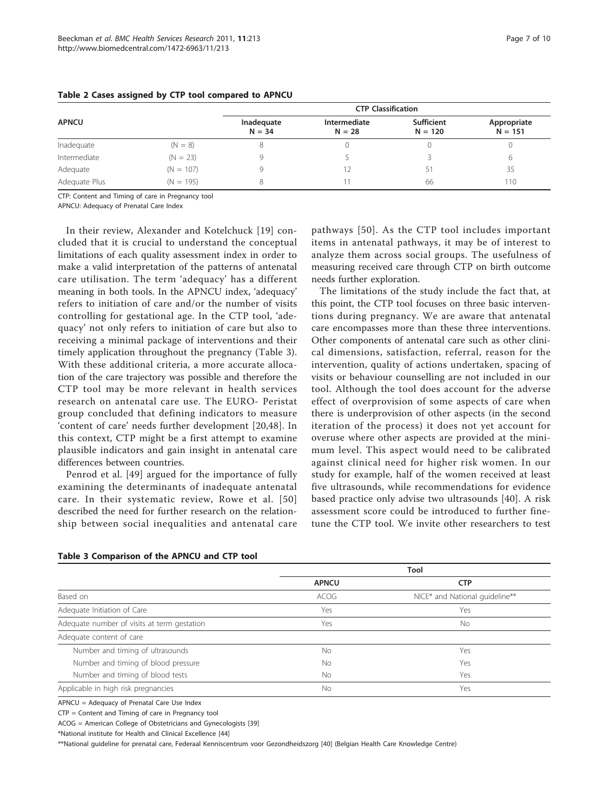|               |             | <b>CTP Classification</b> |                          |                         |                          |
|---------------|-------------|---------------------------|--------------------------|-------------------------|--------------------------|
| <b>APNCU</b>  |             | Inadequate<br>$N = 34$    | Intermediate<br>$N = 28$ | Sufficient<br>$N = 120$ | Appropriate<br>$N = 151$ |
| Inadequate    | $(N = 8)$   |                           | 0                        | 0                       |                          |
| Intermediate  | $(N = 23)$  |                           |                          |                         |                          |
| Adequate      | $(N = 107)$ |                           | 2                        | 51                      | 35                       |
| Adequate Plus | $(N = 195)$ |                           |                          | 66                      | 110                      |

#### <span id="page-6-0"></span>Table 2 Cases assigned by CTP tool compared to APNCU

CTP: Content and Timing of care in Pregnancy tool

APNCU: Adequacy of Prenatal Care Index

In their review, Alexander and Kotelchuck [[19\]](#page-8-0) concluded that it is crucial to understand the conceptual limitations of each quality assessment index in order to make a valid interpretation of the patterns of antenatal care utilisation. The term 'adequacy' has a different meaning in both tools. In the APNCU index, 'adequacy' refers to initiation of care and/or the number of visits controlling for gestational age. In the CTP tool, 'adequacy' not only refers to initiation of care but also to receiving a minimal package of interventions and their timely application throughout the pregnancy (Table 3). With these additional criteria, a more accurate allocation of the care trajectory was possible and therefore the CTP tool may be more relevant in health services research on antenatal care use. The EURO- Peristat group concluded that defining indicators to measure 'content of care' needs further development [[20](#page-8-0),[48\]](#page-8-0). In this context, CTP might be a first attempt to examine plausible indicators and gain insight in antenatal care differences between countries.

Penrod et al. [[49\]](#page-8-0) argued for the importance of fully examining the determinants of inadequate antenatal care. In their systematic review, Rowe et al. [[50](#page-8-0)] described the need for further research on the relationship between social inequalities and antenatal care pathways [[50](#page-8-0)]. As the CTP tool includes important items in antenatal pathways, it may be of interest to analyze them across social groups. The usefulness of measuring received care through CTP on birth outcome needs further exploration.

The limitations of the study include the fact that, at this point, the CTP tool focuses on three basic interventions during pregnancy. We are aware that antenatal care encompasses more than these three interventions. Other components of antenatal care such as other clinical dimensions, satisfaction, referral, reason for the intervention, quality of actions undertaken, spacing of visits or behaviour counselling are not included in our tool. Although the tool does account for the adverse effect of overprovision of some aspects of care when there is underprovision of other aspects (in the second iteration of the process) it does not yet account for overuse where other aspects are provided at the minimum level. This aspect would need to be calibrated against clinical need for higher risk women. In our study for example, half of the women received at least five ultrasounds, while recommendations for evidence based practice only advise two ultrasounds [[40\]](#page-8-0). A risk assessment score could be introduced to further finetune the CTP tool. We invite other researchers to test

|                                             | Tool         |                                |  |
|---------------------------------------------|--------------|--------------------------------|--|
|                                             | <b>APNCU</b> | <b>CTP</b>                     |  |
| Based on                                    | <b>ACOG</b>  | NICE* and National quideline** |  |
| Adequate Initiation of Care                 | Yes          | Yes                            |  |
| Adequate number of visits at term gestation | Yes          | <b>No</b>                      |  |
| Adequate content of care                    |              |                                |  |
| Number and timing of ultrasounds            | <b>No</b>    | Yes                            |  |
| Number and timing of blood pressure         | No           | Yes                            |  |
| Number and timing of blood tests            | <b>No</b>    | Yes                            |  |
| Applicable in high risk pregnancies         | No           | Yes                            |  |

#### Table 3 Comparison of the APNCU and CTP tool

APNCU = Adequacy of Prenatal Care Use Index

CTP = Content and Timing of care in Pregnancy tool

ACOG = American College of Obstetricians and Gynecologists [[39\]](#page-8-0)

\*National institute for Health and Clinical Excellence [[44\]](#page-8-0)

\*\*National guideline for prenatal care, Federaal Kenniscentrum voor Gezondheidszorg [\[40](#page-8-0)] (Belgian Health Care Knowledge Centre)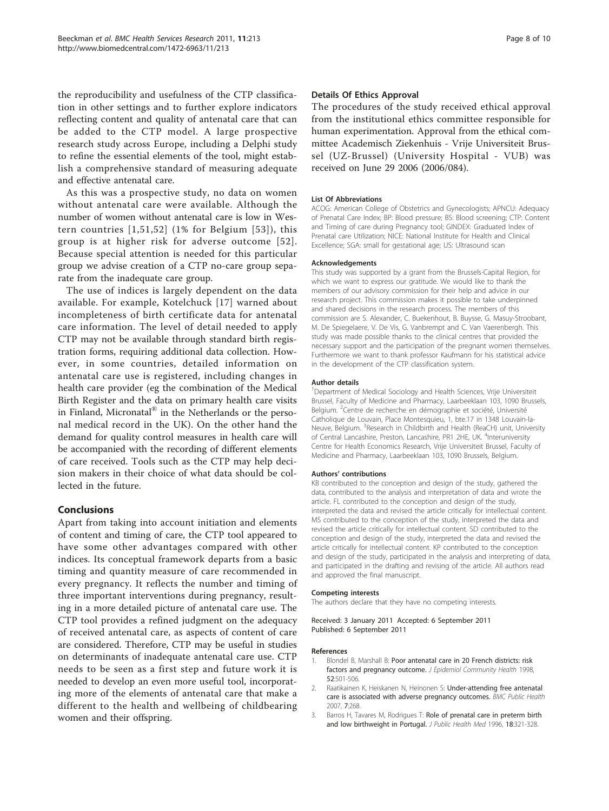<span id="page-7-0"></span>the reproducibility and usefulness of the CTP classification in other settings and to further explore indicators reflecting content and quality of antenatal care that can be added to the CTP model. A large prospective research study across Europe, including a Delphi study to refine the essential elements of the tool, might establish a comprehensive standard of measuring adequate and effective antenatal care.

As this was a prospective study, no data on women without antenatal care were available. Although the number of women without antenatal care is low in Western countries  $[1,51,52]$  $[1,51,52]$  $[1,51,52]$  $[1,51,52]$  (1% for Belgium  $[53]$  $[53]$ ), this group is at higher risk for adverse outcome [[52\]](#page-9-0). Because special attention is needed for this particular group we advise creation of a CTP no-care group separate from the inadequate care group.

The use of indices is largely dependent on the data available. For example, Kotelchuck [\[17\]](#page-8-0) warned about incompleteness of birth certificate data for antenatal care information. The level of detail needed to apply CTP may not be available through standard birth registration forms, requiring additional data collection. However, in some countries, detailed information on antenatal care use is registered, including changes in health care provider (eg the combination of the Medical Birth Register and the data on primary health care visits in Finland, Micronatal® in the Netherlands or the personal medical record in the UK). On the other hand the demand for quality control measures in health care will be accompanied with the recording of different elements of care received. Tools such as the CTP may help decision makers in their choice of what data should be collected in the future.

# Conclusions

Apart from taking into account initiation and elements of content and timing of care, the CTP tool appeared to have some other advantages compared with other indices. Its conceptual framework departs from a basic timing and quantity measure of care recommended in every pregnancy. It reflects the number and timing of three important interventions during pregnancy, resulting in a more detailed picture of antenatal care use. The CTP tool provides a refined judgment on the adequacy of received antenatal care, as aspects of content of care are considered. Therefore, CTP may be useful in studies on determinants of inadequate antenatal care use. CTP needs to be seen as a first step and future work it is needed to develop an even more useful tool, incorporating more of the elements of antenatal care that make a different to the health and wellbeing of childbearing women and their offspring.

# Details Of Ethics Approval

The procedures of the study received ethical approval from the institutional ethics committee responsible for human experimentation. Approval from the ethical committee Academisch Ziekenhuis - Vrije Universiteit Brussel (UZ-Brussel) (University Hospital - VUB) was received on June 29 2006 (2006/084).

#### List Of Abbreviations

ACOG: American College of Obstetrics and Gynecologists; APNCU: Adequacy of Prenatal Care Index; BP: Blood pressure; BS: Blood screening; CTP: Content and Timing of care during Pregnancy tool; GINDEX: Graduated Index of Prenatal care Utilization; NICE: National Institute for Health and Clinical Excellence; SGA: small for gestational age; US: Ultrasound scan

#### Acknowledgements

This study was supported by a grant from the Brussels-Capital Region, for which we want to express our gratitude. We would like to thank the members of our advisory commission for their help and advice in our research project. This commission makes it possible to take underpinned and shared decisions in the research process. The members of this commission are S. Alexander, C. Buekenhout, B. Buysse, G. Masuy-Stroobant, M. De Spiegelaere, V. De Vis, G. Vanbrempt and C. Van Vaerenbergh. This study was made possible thanks to the clinical centres that provided the necessary support and the participation of the pregnant women themselves. Furthermore we want to thank professor Kaufmann for his statistical advice in the development of the CTP classification system.

#### Author details

<sup>1</sup>Department of Medical Sociology and Health Sciences, Vrije Universiteit Brussel, Faculty of Medicine and Pharmacy, Laarbeeklaan 103, 1090 Brussels, Belgium. <sup>2</sup>Centre de recherche en démographie et société, Université Catholique de Louvain, Place Montesquieu, 1, bte.17 in 1348 Louvain-la-Neuve, Belgium. <sup>3</sup>Research in Childbirth and Health (ReaCH) unit, University of Central Lancashire, Preston, Lancashire, PR1 2HE, UK. <sup>4</sup>Interuniversity Centre for Health Economics Research, Vrije Universiteit Brussel, Faculty of Medicine and Pharmacy, Laarbeeklaan 103, 1090 Brussels, Belgium.

#### Authors' contributions

KB contributed to the conception and design of the study, gathered the data, contributed to the analysis and interpretation of data and wrote the article. FL contributed to the conception and design of the study, interpreted the data and revised the article critically for intellectual content. MS contributed to the conception of the study, interpreted the data and revised the article critically for intellectual content. SD contributed to the conception and design of the study, interpreted the data and revised the article critically for intellectual content. KP contributed to the conception and design of the study, participated in the analysis and interpreting of data, and participated in the drafting and revising of the article. All authors read and approved the final manuscript.

#### Competing interests

The authors declare that they have no competing interests.

Received: 3 January 2011 Accepted: 6 September 2011 Published: 6 September 2011

#### References

- 1. Blondel B, Marshall B: [Poor antenatal care in 20 French districts: risk](http://www.ncbi.nlm.nih.gov/pubmed/9876361?dopt=Abstract) [factors and pregnancy outcome.](http://www.ncbi.nlm.nih.gov/pubmed/9876361?dopt=Abstract) J Epidemiol Community Health 1998, 52:501-506.
- 2. Raatikainen K, Heiskanen N, Heinonen S: [Under-attending free antenatal](http://www.ncbi.nlm.nih.gov/pubmed/17900359?dopt=Abstract) [care is associated with adverse pregnancy outcomes.](http://www.ncbi.nlm.nih.gov/pubmed/17900359?dopt=Abstract) BMC Public Health 2007, 7:268.
- 3. Barros H, Tavares M, Rodrigues T: [Role of prenatal care in preterm birth](http://www.ncbi.nlm.nih.gov/pubmed/8887844?dopt=Abstract) [and low birthweight in Portugal.](http://www.ncbi.nlm.nih.gov/pubmed/8887844?dopt=Abstract) J Public Health Med 1996, 18:321-328.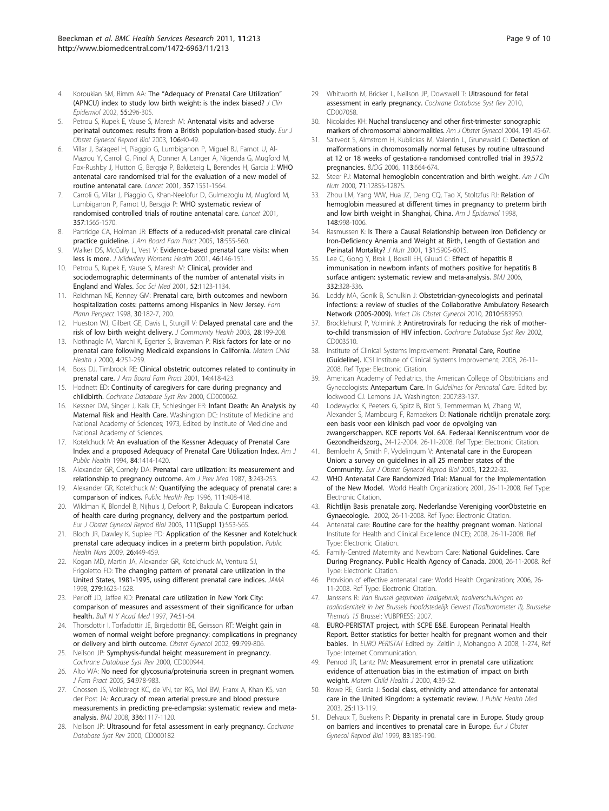- <span id="page-8-0"></span>4. Koroukian SM, Rimm AA: The "[Adequacy of Prenatal Care Utilization](http://www.ncbi.nlm.nih.gov/pubmed/11864801?dopt=Abstract)" [\(APNCU\) index to study low birth weight: is the index biased?](http://www.ncbi.nlm.nih.gov/pubmed/11864801?dopt=Abstract) J Clin Epidemiol 2002, 55:296-305.
- Petrou S, Kupek E, Vause S, Maresh M: [Antenatal visits and adverse](http://www.ncbi.nlm.nih.gov/pubmed/12475580?dopt=Abstract) [perinatal outcomes: results from a British population-based study.](http://www.ncbi.nlm.nih.gov/pubmed/12475580?dopt=Abstract) Eur J Obstet Gynecol Reprod Biol 2003, 106:40-49.
- Villar J, Ba'aqeel H, Piaggio G, Lumbiganon P, Miguel BJ, Farnot U, Al-Mazrou Y, Carroli G, Pinol A, Donner A, Langer A, Nigenda G, Mugford M, Fox-Rushby J, Hutton G, Bergsjø P, Bakketeig L, Berendes H, Garcia J: [WHO](http://www.ncbi.nlm.nih.gov/pubmed/11377642?dopt=Abstract) [antenatal care randomised trial for the evaluation of a new model of](http://www.ncbi.nlm.nih.gov/pubmed/11377642?dopt=Abstract) [routine antenatal care.](http://www.ncbi.nlm.nih.gov/pubmed/11377642?dopt=Abstract) Lancet 2001, 357:1551-1564.
- 7. Carroli G, Villar J, Piaggio G, Khan-Neelofur D, Gulmezoglu M, Mugford M, Lumbiganon P, Farnot U, Bersgjø P: [WHO systematic review of](http://www.ncbi.nlm.nih.gov/pubmed/11377643?dopt=Abstract) [randomised controlled trials of routine antenatal care.](http://www.ncbi.nlm.nih.gov/pubmed/11377643?dopt=Abstract) Lancet 2001, 357:1565-1570.
- Partridge CA, Holman JR: [Effects of a reduced-visit prenatal care clinical](http://www.ncbi.nlm.nih.gov/pubmed/16322418?dopt=Abstract) [practice guideline.](http://www.ncbi.nlm.nih.gov/pubmed/16322418?dopt=Abstract) J Am Board Fam Pract 2005, 18:555-560.
- 9. Walker DS, McCully L, Vest V: [Evidence-based prenatal care visits: when](http://www.ncbi.nlm.nih.gov/pubmed/11480746?dopt=Abstract) [less is more.](http://www.ncbi.nlm.nih.gov/pubmed/11480746?dopt=Abstract) J Midwifery Womens Health 2001, 46:146-151.
- 10. Petrou S, Kupek E, Vause S, Maresh M: [Clinical, provider and](http://www.ncbi.nlm.nih.gov/pubmed/11266054?dopt=Abstract) [sociodemographic determinants of the number of antenatal visits in](http://www.ncbi.nlm.nih.gov/pubmed/11266054?dopt=Abstract) [England and Wales.](http://www.ncbi.nlm.nih.gov/pubmed/11266054?dopt=Abstract) Soc Sci Med 2001, 52:1123-1134.
- 11. Reichman NE, Kenney GM: [Prenatal care, birth outcomes and newborn](http://www.ncbi.nlm.nih.gov/pubmed/9711457?dopt=Abstract) [hospitalization costs: patterns among Hispanics in New Jersey.](http://www.ncbi.nlm.nih.gov/pubmed/9711457?dopt=Abstract) Fam Plann Perspect 1998, 30:182-7, 200.
- 12. Hueston WJ, Gilbert GE, Davis L, Sturgill V: [Delayed prenatal care and the](http://www.ncbi.nlm.nih.gov/pubmed/12713070?dopt=Abstract) [risk of low birth weight delivery.](http://www.ncbi.nlm.nih.gov/pubmed/12713070?dopt=Abstract) J Community Health 2003, 28:199-208.
- 13. Nothnagle M, Marchi K, Egerter S, Brayeman P: [Risk factors for late or no](http://www.ncbi.nlm.nih.gov/pubmed/11272345?dopt=Abstract) [prenatal care following Medicaid expansions in California.](http://www.ncbi.nlm.nih.gov/pubmed/11272345?dopt=Abstract) Matern Child Health J 2000, 4:251-259.
- 14. Boss DJ, Timbrook RE: [Clinical obstetric outcomes related to continuity in](http://www.ncbi.nlm.nih.gov/pubmed/11757883?dopt=Abstract) [prenatal care.](http://www.ncbi.nlm.nih.gov/pubmed/11757883?dopt=Abstract) J Am Board Fam Pract 2001, 14:418-423.
- 15. Hodnett ED: Continuity of caregivers for care during pregnancy and childbirth. Cochrane Database Syst Rev 2000, CD000062.
- 16. Kessner DM, Singer J, Kalk CE, Schlesinger ER: Infant Death: An Analysis by Maternal Risk and Health Care. Washington DC: Institute of Medicine and National Academy of Sciences; 1973, Edited by Institute of Medicine and National Academy of Sciences.
- 17. Kotelchuck M: [An evaluation of the Kessner Adequacy of Prenatal Care](http://www.ncbi.nlm.nih.gov/pubmed/8092364?dopt=Abstract) [Index and a proposed Adequacy of Prenatal Care Utilization Index.](http://www.ncbi.nlm.nih.gov/pubmed/8092364?dopt=Abstract) Am J Public Health 1994, 84:1414-1420.
- Alexander GR, Cornely DA: [Prenatal care utilization: its measurement and](http://www.ncbi.nlm.nih.gov/pubmed/3452362?dopt=Abstract) [relationship to pregnancy outcome.](http://www.ncbi.nlm.nih.gov/pubmed/3452362?dopt=Abstract) Am J Prev Med 1987, 3:243-253.
- 19. Alexander GR, Kotelchuck M: [Quantifying the adequacy of prenatal care: a](http://www.ncbi.nlm.nih.gov/pubmed/8837629?dopt=Abstract) [comparison of indices.](http://www.ncbi.nlm.nih.gov/pubmed/8837629?dopt=Abstract) Public Health Rep 1996, 111:408-418.
- 20. Wildman K, Blondel B, Nijhuis J, Defoort P, Bakoula C: [European indicators](http://www.ncbi.nlm.nih.gov/pubmed/14642320?dopt=Abstract) [of health care during pregnancy, delivery and the postpartum period.](http://www.ncbi.nlm.nih.gov/pubmed/14642320?dopt=Abstract) Eur J Obstet Gynecol Reprod Biol 2003, 111(Suppl 1):S53-S65.
- 21. Bloch JR, Dawley K, Suplee PD: [Application of the Kessner and Kotelchuck](http://www.ncbi.nlm.nih.gov/pubmed/19706128?dopt=Abstract) [prenatal care adequacy indices in a preterm birth population.](http://www.ncbi.nlm.nih.gov/pubmed/19706128?dopt=Abstract) Public Health Nurs 2009, 26:449-459.
- 22. Kogan MD, Martin JA, Alexander GR, Kotelchuck M, Ventura SJ, Frigoletto FD: [The changing pattern of prenatal care utilization in the](http://www.ncbi.nlm.nih.gov/pubmed/9613911?dopt=Abstract) [United States, 1981-1995, using different prenatal care indices.](http://www.ncbi.nlm.nih.gov/pubmed/9613911?dopt=Abstract) JAMA 1998, 279:1623-1628.
- 23. Perloff JD, Jaffee KD: [Prenatal care utilization in New York City:](http://www.ncbi.nlm.nih.gov/pubmed/9211001?dopt=Abstract) [comparison of measures and assessment of their significance for urban](http://www.ncbi.nlm.nih.gov/pubmed/9211001?dopt=Abstract) [health.](http://www.ncbi.nlm.nih.gov/pubmed/9211001?dopt=Abstract) Bull N Y Acad Med 1997, 74:51-64.
- 24. Thorsdottir I, Torfadottir JE, Birgisdottir BE, Geirsson RT: [Weight gain in](http://www.ncbi.nlm.nih.gov/pubmed/11978290?dopt=Abstract) [women of normal weight before pregnancy: complications in pregnancy](http://www.ncbi.nlm.nih.gov/pubmed/11978290?dopt=Abstract) [or delivery and birth outcome.](http://www.ncbi.nlm.nih.gov/pubmed/11978290?dopt=Abstract) Obstet Gynecol 2002, 99:799-806.
- 25. Neilson JP: Symphysis-fundal height measurement in pregnancy. Cochrane Database Syst Rev 2000, CD000944.
- 26. Alto WA: [No need for glycosuria/proteinuria screen in pregnant women.](http://www.ncbi.nlm.nih.gov/pubmed/16266604?dopt=Abstract) J Fam Pract 2005, 54:978-983.
- 27. Cnossen JS, Vollebregt KC, de VN, ter RG, Mol BW, Franx A, Khan KS, van der Post JA: [Accuracy of mean arterial pressure and blood pressure](http://www.ncbi.nlm.nih.gov/pubmed/18480117?dopt=Abstract) [measurements in predicting pre-eclampsia: systematic review and meta](http://www.ncbi.nlm.nih.gov/pubmed/18480117?dopt=Abstract)[analysis.](http://www.ncbi.nlm.nih.gov/pubmed/18480117?dopt=Abstract) BMJ 2008, 336:1117-1120.
- 28. Neilson JP: Ultrasound for fetal assessment in early pregnancy. Cochrane Database Syst Rev 2000, CD000182.
- 29. Whitworth M, Bricker L, Neilson JP, Dowswell T: Ultrasound for fetal assessment in early pregnancy. Cochrane Database Syst Rev 2010, CD007058.
- 30. Nicolaides KH: [Nuchal translucency and other first-trimester sonographic](http://www.ncbi.nlm.nih.gov/pubmed/15295343?dopt=Abstract) [markers of chromosomal abnormalities.](http://www.ncbi.nlm.nih.gov/pubmed/15295343?dopt=Abstract) Am J Obstet Gynecol 2004, 191:45-67.
- 31. Saltvedt S, Almstrom H, Kublickas M, Valentin L, Grunewald C: [Detection of](http://www.ncbi.nlm.nih.gov/pubmed/16709209?dopt=Abstract) [malformations in chromosomally normal fetuses by routine ultrasound](http://www.ncbi.nlm.nih.gov/pubmed/16709209?dopt=Abstract) [at 12 or 18 weeks of gestation-a randomised controlled trial in 39,572](http://www.ncbi.nlm.nih.gov/pubmed/16709209?dopt=Abstract) [pregnancies.](http://www.ncbi.nlm.nih.gov/pubmed/16709209?dopt=Abstract) BJOG 2006, 113:664-674.
- 32. Steer PJ: [Maternal hemoglobin concentration and birth weight.](http://www.ncbi.nlm.nih.gov/pubmed/10799403?dopt=Abstract) Am J Clin Nutr 2000, 71:1285S-1287S.
- 33. Zhou LM, Yang WW, Hua JZ, Deng CQ, Tao X, Stoltzfus RJ: [Relation of](http://www.ncbi.nlm.nih.gov/pubmed/9829872?dopt=Abstract) [hemoglobin measured at different times in pregnancy to preterm birth](http://www.ncbi.nlm.nih.gov/pubmed/9829872?dopt=Abstract) [and low birth weight in Shanghai, China.](http://www.ncbi.nlm.nih.gov/pubmed/9829872?dopt=Abstract) Am J Epidemiol 1998, 148:998-1006.
- 34. Rasmussen K: [Is There a Causal Relationship between Iron Deficiency or](http://www.ncbi.nlm.nih.gov/pubmed/11160592?dopt=Abstract) [Iron-Deficiency Anemia and Weight at Birth, Length of Gestation and](http://www.ncbi.nlm.nih.gov/pubmed/11160592?dopt=Abstract) [Perinatal Mortality?](http://www.ncbi.nlm.nih.gov/pubmed/11160592?dopt=Abstract) *J Nutr* 2001, 131:590S-601S.
- Lee C, Gong Y, Brok J, Boxall EH, Gluud C: [Effect of hepatitis B](http://www.ncbi.nlm.nih.gov/pubmed/16443611?dopt=Abstract) [immunisation in newborn infants of mothers positive for hepatitis B](http://www.ncbi.nlm.nih.gov/pubmed/16443611?dopt=Abstract) [surface antigen: systematic review and meta-analysis.](http://www.ncbi.nlm.nih.gov/pubmed/16443611?dopt=Abstract) BMJ 2006, 332:328-336.
- 36. Leddy MA, Gonik B, Schulkin J: [Obstetrician-gynecologists and perinatal](http://www.ncbi.nlm.nih.gov/pubmed/21113289?dopt=Abstract) [infections: a review of studies of the Collaborative Ambulatory Research](http://www.ncbi.nlm.nih.gov/pubmed/21113289?dopt=Abstract) [Network \(2005-2009\).](http://www.ncbi.nlm.nih.gov/pubmed/21113289?dopt=Abstract) Infect Dis Obstet Gynecol 2010, 2010:583950.
- 37. Brocklehurst P, Volmink J: Antiretrovirals for reducing the risk of motherto-child transmission of HIV infection. Cochrane Database Syst Rev 2002, CD003510.
- 38. Institute of Clinical Systems Improvement: Prenatal Care, Routine (Guideline). ICSI Institute of Clinical Systems Improvement; 2008, 26-11- 2008. Ref Type: Electronic Citation.
- American Academy of Pediatrics, the American College of Obstitricians and Gynecologists: Antepartum Care. In Guidelines for Perinatal Care. Edited by: lockwood CJ. Lemons J.A. Washington; 2007:83-137.
- 40. Lodewyckx K, Peeters G, Spitz B, Blot S, Temmerman M, Zhang W, Alexander S, Mambourg F, Ramaekers D: Nationale richtlijn prenatale zorg: een basis voor een klinisch pad voor de opvolging van zwangerschappen. KCE reports Vol. 6A. Federaal Kenniscentrum voor de Gezondheidszorg., 24-12-2004. 26-11-2008. Ref Type: Electronic Citation.
- 41. Bernloehr A, Smith P, Vydelingum V: [Antenatal care in the European](http://www.ncbi.nlm.nih.gov/pubmed/16154036?dopt=Abstract) [Union: a survey on guidelines in all 25 member states of the](http://www.ncbi.nlm.nih.gov/pubmed/16154036?dopt=Abstract) [Community.](http://www.ncbi.nlm.nih.gov/pubmed/16154036?dopt=Abstract) Eur J Obstet Gynecol Reprod Biol 2005, 122:22-32.
- 42. WHO Antenatal Care Randomized Trial: Manual for the Implementation of the New Model. World Health Organization; 2001, 26-11-2008. Ref Type: Electronic Citation.
- 43. Richtlijn Basis prenatale zorg. Nederlandse Vereniging voorObstetrie en Gynaecologie. 2002, 26-11-2008. Ref Type: Electronic Citation.
- 44. Antenatal care: Routine care for the healthy pregnant woman. National Institute for Health and Clinical Excellence (NICE); 2008, 26-11-2008. Ref Type: Electronic Citation.
- 45. Family-Centred Maternity and Newborn Care: National Guidelines. Care During Pregnancy. Public Health Agency of Canada. 2000, 26-11-2008. Ref Type: Electronic Citation.
- 46. Provision of effective antenatal care: World Health Organization; 2006, 26- 11-2008. Ref Type: Electronic Citation.
- 47. Janssens R: Van Brussel gesproken Taalgebruik, taalverschuivingen en taalindentiteit in het Brussels Hoofdstedelijk Gewest (Taalbarometer II), Brusselse Thema's 15 Brussel: VUBPRESS; 2007.
- 48. EURO-PERISTAT project, with SCPE E&E. European Perinatal Health Report. Better statistics for better health for pregnant women and their babies. In EURO PERISTAT Edited by: Zeitlin J, Mohangoo A 2008, 1-274, Ref Type: Internet Communication.
- 49. Penrod JR, Lantz PM: [Measurement error in prenatal care utilization:](http://www.ncbi.nlm.nih.gov/pubmed/10941759?dopt=Abstract) [evidence of attenuation bias in the estimation of impact on birth](http://www.ncbi.nlm.nih.gov/pubmed/10941759?dopt=Abstract) [weight.](http://www.ncbi.nlm.nih.gov/pubmed/10941759?dopt=Abstract) Matern Child Health J 2000, 4:39-52.
- 50. Rowe RE, Garcia J: [Social class, ethnicity and attendance for antenatal](http://www.ncbi.nlm.nih.gov/pubmed/12848399?dopt=Abstract) [care in the United Kingdom: a systematic review.](http://www.ncbi.nlm.nih.gov/pubmed/12848399?dopt=Abstract) J Public Health Med 2003, 25:113-119.
- 51. Delvaux T, Buekens P: [Disparity in prenatal care in Europe. Study group](http://www.ncbi.nlm.nih.gov/pubmed/10391530?dopt=Abstract) [on barriers and incentives to prenatal care in Europe.](http://www.ncbi.nlm.nih.gov/pubmed/10391530?dopt=Abstract) Eur J Obstet Gynecol Reprod Biol 1999, 83:185-190.